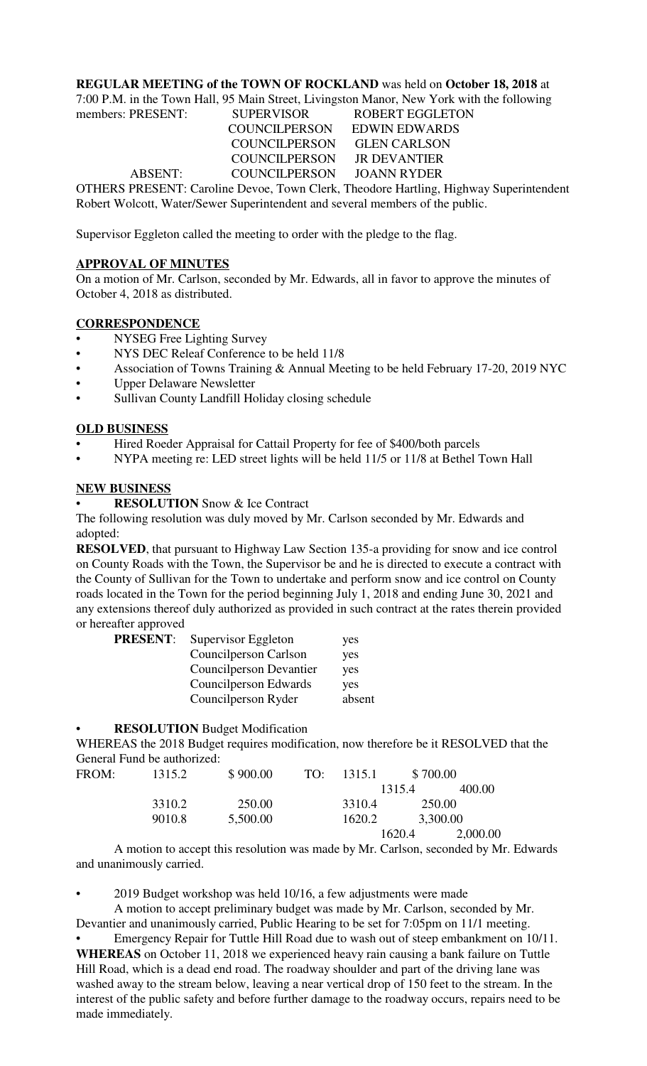# **REGULAR MEETING of the TOWN OF ROCKLAND** was held on **October 18, 2018** at

7:00 P.M. in the Town Hall, 95 Main Street, Livingston Manor, New York with the following

| members: PRESENT: | <b>SUPERVISOR</b>           | <b>ROBERT EGGLETON</b>                                                           |
|-------------------|-----------------------------|----------------------------------------------------------------------------------|
|                   | COUNCILPERSON EDWIN EDWARDS |                                                                                  |
|                   | COUNCILPERSON GLEN CARLSON  |                                                                                  |
|                   | COUNCILPERSON JR DEVANTIER  |                                                                                  |
| ABSENT:           | COUNCILPERSON JOANN RYDER   |                                                                                  |
|                   |                             | OTHERS PRESENT: Caroline Devoe. Town Clerk. Theodore Hartling. Highway Superinte |

OTHERS PRESENT: Caroline Devoe, Town Clerk, Theodore Hartling, Highway Superintendent Robert Wolcott, Water/Sewer Superintendent and several members of the public.

Supervisor Eggleton called the meeting to order with the pledge to the flag.

# **APPROVAL OF MINUTES**

On a motion of Mr. Carlson, seconded by Mr. Edwards, all in favor to approve the minutes of October 4, 2018 as distributed.

# **CORRESPONDENCE**

- NYSEG Free Lighting Survey
- NYS DEC Releaf Conference to be held 11/8
- Association of Towns Training & Annual Meeting to be held February 17-20, 2019 NYC
- Upper Delaware Newsletter
- Sullivan County Landfill Holiday closing schedule

### **OLD BUSINESS**

- Hired Roeder Appraisal for Cattail Property for fee of \$400/both parcels
- NYPA meeting re: LED street lights will be held 11/5 or 11/8 at Bethel Town Hall

### **NEW BUSINESS**

**RESOLUTION** Snow & Ice Contract

The following resolution was duly moved by Mr. Carlson seconded by Mr. Edwards and adopted:

**RESOLVED**, that pursuant to Highway Law Section 135-a providing for snow and ice control on County Roads with the Town, the Supervisor be and he is directed to execute a contract with the County of Sullivan for the Town to undertake and perform snow and ice control on County roads located in the Town for the period beginning July 1, 2018 and ending June 30, 2021 and any extensions thereof duly authorized as provided in such contract at the rates therein provided or hereafter approved

| <b>PRESENT:</b> | Supervisor Eggleton     | yes    |
|-----------------|-------------------------|--------|
|                 | Councilperson Carlson   | yes    |
|                 | Councilperson Devantier | yes    |
|                 | Council person Edwards  | yes    |
|                 | Councilperson Ryder     | absent |

#### • **RESOLUTION** Budget Modification

WHEREAS the 2018 Budget requires modification, now therefore be it RESOLVED that the General Fund be authorized:

| FROM: | 1315.2 | \$900.00 | TO: | -1315.1 | \$700.00 |          |
|-------|--------|----------|-----|---------|----------|----------|
|       |        |          |     |         | 1315.4   | 400.00   |
|       | 3310.2 | 250.00   |     | 3310.4  | 250.00   |          |
|       | 9010.8 | 5,500.00 |     | 1620.2  | 3,300.00 |          |
|       |        |          |     |         | 1620.4   | 2,000.00 |

A motion to accept this resolution was made by Mr. Carlson, seconded by Mr. Edwards and unanimously carried.

• 2019 Budget workshop was held 10/16, a few adjustments were made

A motion to accept preliminary budget was made by Mr. Carlson, seconded by Mr. Devantier and unanimously carried, Public Hearing to be set for 7:05pm on 11/1 meeting. • Emergency Repair for Tuttle Hill Road due to wash out of steep embankment on 10/11. **WHEREAS** on October 11, 2018 we experienced heavy rain causing a bank failure on Tuttle

Hill Road, which is a dead end road. The roadway shoulder and part of the driving lane was washed away to the stream below, leaving a near vertical drop of 150 feet to the stream. In the interest of the public safety and before further damage to the roadway occurs, repairs need to be made immediately.